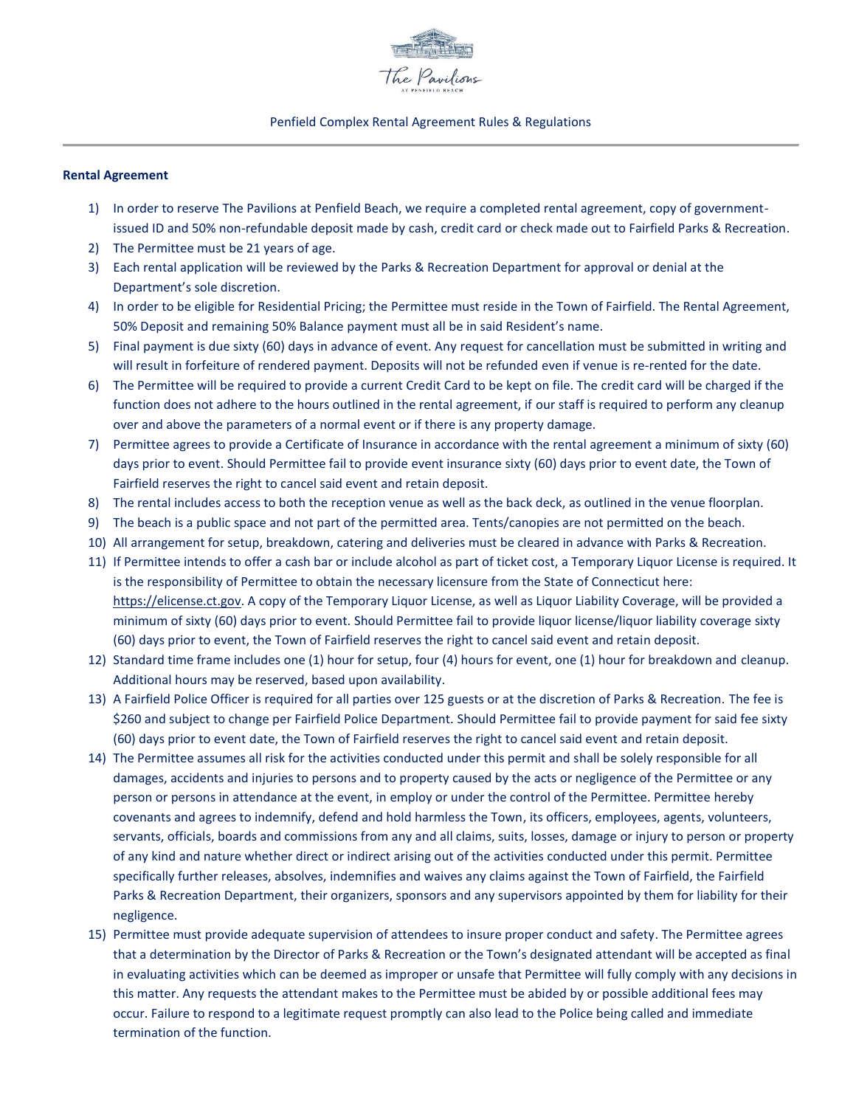

#### Penfield Complex Rental Agreement Rules & Regulations

#### **Rental Agreement**

- 1) In order to reserve The Pavilions at Penfield Beach, we require a completed rental agreement, copy of governmentissued ID and 50% non-refundable deposit made by cash, credit card or check made out to Fairfield Parks & Recreation.
- 2) The Permittee must be 21 years of age.
- 3) Each rental application will be reviewed by the Parks & Recreation Department for approval or denial at the Department's sole discretion.
- 4) In order to be eligible for Residential Pricing; the Permittee must reside in the Town of Fairfield. The Rental Agreement, 50% Deposit and remaining 50% Balance payment must all be in said Resident's name.
- 5) Final payment is due sixty (60) days in advance of event. Any request for cancellation must be submitted in writing and will result in forfeiture of rendered payment. Deposits will not be refunded even if venue is re-rented for the date.
- 6) The Permittee will be required to provide a current Credit Card to be kept on file. The credit card will be charged if the function does not adhere to the hours outlined in the rental agreement, if our staff is required to perform any cleanup over and above the parameters of a normal event or if there is any property damage.
- 7) Permittee agrees to provide a Certificate of Insurance in accordance with the rental agreement a minimum of sixty (60) days prior to event. Should Permittee fail to provide event insurance sixty (60) days prior to event date, the Town of Fairfield reserves the right to cancel said event and retain deposit.
- 8) The rental includes access to both the reception venue as well as the back deck, as outlined in the venue floorplan.
- 9) The beach is a public space and not part of the permitted area. Tents/canopies are not permitted on the beach.
- 10) All arrangement for setup, breakdown, catering and deliveries must be cleared in advance with Parks & Recreation.
- 11) If Permittee intends to offer a cash bar or include alcohol as part of ticket cost, a Temporary Liquor License is required. It is the responsibility of Permittee to obtain the necessary licensure from the State of Connecticut here: [https://elicense.ct.gov.](https://elicense.ct.gov/) A copy of the Temporary Liquor License, as well as Liquor Liability Coverage, will be provided a minimum of sixty (60) days prior to event. Should Permittee fail to provide liquor license/liquor liability coverage sixty (60) days prior to event, the Town of Fairfield reserves the right to cancel said event and retain deposit.
- 12) Standard time frame includes one (1) hour for setup, four (4) hours for event, one (1) hour for breakdown and cleanup. Additional hours may be reserved, based upon availability.
- 13) A Fairfield Police Officer is required for all parties over 125 guests or at the discretion of Parks & Recreation. The fee is \$260 and subject to change per Fairfield Police Department. Should Permittee fail to provide payment for said fee sixty (60) days prior to event date, the Town of Fairfield reserves the right to cancel said event and retain deposit.
- 14) The Permittee assumes all risk for the activities conducted under this permit and shall be solely responsible for all damages, accidents and injuries to persons and to property caused by the acts or negligence of the Permittee or any person or persons in attendance at the event, in employ or under the control of the Permittee. Permittee hereby covenants and agrees to indemnify, defend and hold harmless the Town, its officers, employees, agents, volunteers, servants, officials, boards and commissions from any and all claims, suits, losses, damage or injury to person or property of any kind and nature whether direct or indirect arising out of the activities conducted under this permit. Permittee specifically further releases, absolves, indemnifies and waives any claims against the Town of Fairfield, the Fairfield Parks & Recreation Department, their organizers, sponsors and any supervisors appointed by them for liability for their negligence.
- 15) Permittee must provide adequate supervision of attendees to insure proper conduct and safety. The Permittee agrees that a determination by the Director of Parks & Recreation or the Town's designated attendant will be accepted as final in evaluating activities which can be deemed as improper or unsafe that Permittee will fully comply with any decisions in this matter. Any requests the attendant makes to the Permittee must be abided by or possible additional fees may occur. Failure to respond to a legitimate request promptly can also lead to the Police being called and immediate termination of the function.